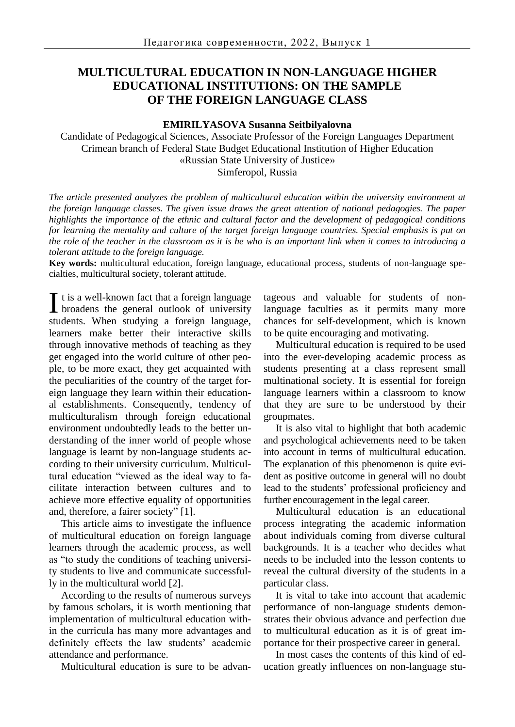# **MULTICULTURAL EDUCATION IN NON-LANGUAGE HIGHER EDUCATIONAL INSTITUTIONS: ON THE SAMPLE OF THE FOREIGN LANGUAGE CLASS**

#### **EMIRILYASOVA Susanna Seitbilyalovna**

Candidate of Pedagogical Sciences, Associate Professor of the Foreign Languages Department Crimean branch of Federal State Budget Educational Institution of Higher Education «Russian State University of Justice» Simferopol, Russia

*The article presented analyzes the problem of multicultural education within the university environment at the foreign language classes. The given issue draws the great attention of national pedagogies. The paper highlights the importance of the ethnic and cultural factor and the development of pedagogical conditions for learning the mentality and culture of the target foreign language countries. Special emphasis is put on the role of the teacher in the classroom as it is he who is an important link when it comes to introducing a tolerant attitude to the foreign language.*

**Key words:** multicultural education, foreign language, educational process, students of non-language specialties, multicultural society, tolerant attitude.

 $\mathbf{T}$  t is a well-known fact that a foreign language I t is a well-known fact that a foreign language<br>broadens the general outlook of university students. When studying a foreign language, learners make better their interactive skills through innovative methods of teaching as they get engaged into the world culture of other people, to be more exact, they get acquainted with the peculiarities of the country of the target foreign language they learn within their educational establishments. Consequently, tendency of multiculturalism through foreign educational environment undoubtedly leads to the better understanding of the inner world of people whose language is learnt by non-language students according to their university curriculum. Multicultural education "viewed as the ideal way to facilitate interaction between cultures and to achieve more effective equality of opportunities and, therefore, a fairer society" [1].

This article aims to investigate the influence of multicultural education on foreign language learners through the academic process, as well as "to study the conditions of teaching university students to live and communicate successfully in the multicultural world [2].

According to the results of numerous surveys by famous scholars, it is worth mentioning that implementation of multicultural education within the curricula has many more advantages and definitely effects the law students' academic attendance and performance.

Multicultural education is sure to be advan-

tageous and valuable for students of nonlanguage faculties as it permits many more chances for self-development, which is known to be quite encouraging and motivating.

Multicultural education is required to be used into the ever-developing academic process as students presenting at a class represent small multinational society. It is essential for foreign language learners within a classroom to know that they are sure to be understood by their groupmates.

It is also vital to highlight that both academic and psychological achievements need to be taken into account in terms of multicultural education. The explanation of this phenomenon is quite evident as positive outcome in general will no doubt lead to the students' professional proficiency and further encouragement in the legal career.

Multicultural education is an educational process integrating the academic information about individuals coming from diverse cultural backgrounds. It is a teacher who decides what needs to be included into the lesson contents to reveal the cultural diversity of the students in a particular class.

It is vital to take into account that academic performance of non-language students demonstrates their obvious advance and perfection due to multicultural education as it is of great importance for their prospective career in general.

In most cases the contents of this kind of education greatly influences on non-language stu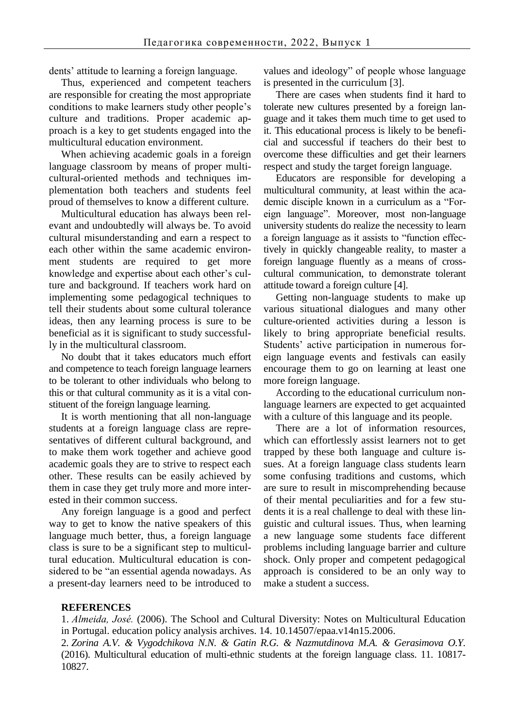dents' attitude to learning a foreign language.

Thus, experienced and competent teachers are responsible for creating the most appropriate conditions to make learners study other people's culture and traditions. Proper academic approach is a key to get students engaged into the multicultural education environment.

When achieving academic goals in a foreign language classroom by means of proper multicultural-oriented methods and techniques implementation both teachers and students feel proud of themselves to know a different culture.

Multicultural education has always been relevant and undoubtedly will always be. To avoid cultural misunderstanding and earn a respect to each other within the same academic environment students are required to get more knowledge and expertise about each other's culture and background. If teachers work hard on implementing some pedagogical techniques to tell their students about some cultural tolerance ideas, then any learning process is sure to be beneficial as it is significant to study successfully in the multicultural classroom.

No doubt that it takes educators much effort and competence to teach foreign language learners to be tolerant to other individuals who belong to this or that cultural community as it is a vital constituent of the foreign language learning.

It is worth mentioning that all non-language students at a foreign language class are representatives of different cultural background, and to make them work together and achieve good academic goals they are to strive to respect each other. These results can be easily achieved by them in case they get truly more and more interested in their common success.

Any foreign language is a good and perfect way to get to know the native speakers of this language much better, thus, a foreign language class is sure to be a significant step to multicultural education. Multicultural education is considered to be "an essential agenda nowadays. As a present-day learners need to be introduced to values and ideology" of people whose language is presented in the curriculum [3].

There are cases when students find it hard to tolerate new cultures presented by a foreign language and it takes them much time to get used to it. This educational process is likely to be beneficial and successful if teachers do their best to overcome these difficulties and get their learners respect and study the target foreign language.

Educators are responsible for developing a multicultural community, at least within the academic disciple known in a curriculum as a "Foreign language". Moreover, most non-language university students do realize the necessity to learn a foreign language as it assists to "function effectively in quickly changeable reality, to master a foreign language fluently as a means of crosscultural communication, to demonstrate tolerant attitude toward a foreign culture [4].

Getting non-language students to make up various situational dialogues and many other culture-oriented activities during a lesson is likely to bring appropriate beneficial results. Students' active participation in numerous foreign language events and festivals can easily encourage them to go on learning at least one more foreign language.

According to the educational curriculum nonlanguage learners are expected to get acquainted with a culture of this language and its people.

There are a lot of information resources, which can effortlessly assist learners not to get trapped by these both language and culture issues. At a foreign language class students learn some confusing traditions and customs, which are sure to result in miscomprehending because of their mental peculiarities and for a few students it is a real challenge to deal with these linguistic and cultural issues. Thus, when learning a new language some students face different problems including language barrier and culture shock. Only proper and competent pedagogical approach is considered to be an only way to make a student a success.

### **REFERENCES**

1. *Almeida, José.* (2006). The School and Cultural Diversity: Notes on Multicultural Education in Portugal. education policy analysis archives. 14. 10.14507/epaa.v14n15.2006.

2. *Zorina A.V. & Vygodchikova N.N. & Gatin R.G. & Nazmutdinova M.A. & Gerasimova O.Y.* (2016). Multicultural education of multi-ethnic students at the foreign language class. 11. 10817- 10827.